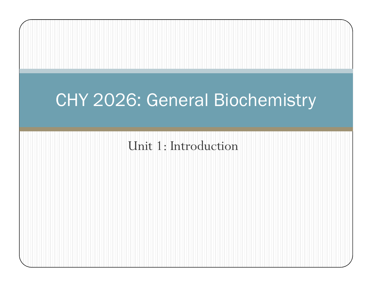# CHY 2026: General Biochemistry

Unit 1: Introduction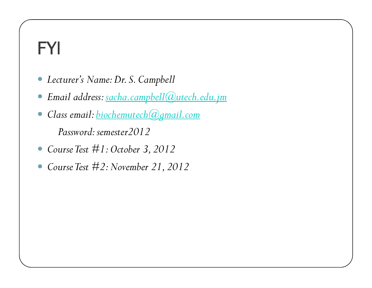## FYI

- Lecturer's Name: Dr. S. Campbell
- Email address: sacha.campbell@utech.edu.jm
- Class email: biochemutech@gmail.com Password: semester2012
- Course Test  $#1: October~3, 2012$
- Course Test #2: November 21, 2012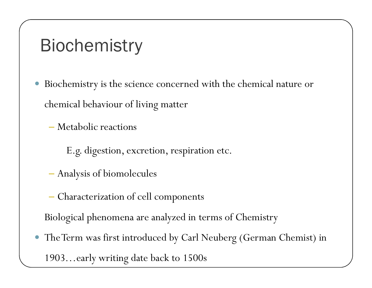## **Biochemistry**

 $\bullet$  Biochemistry is the science concerned with the chemical nature or chemical behaviour of living matter

Metabolic reactions

E.g. digestion, excretion, respiration etc.

- Analysis of biomolecules
- Characterization of cell components

Biological phenomena are analyzed in terms of Chemistry

 $\bullet$  The Term was first introduced by Carl Neuberg (German Chemist) in 1903…early writing date back to 1500s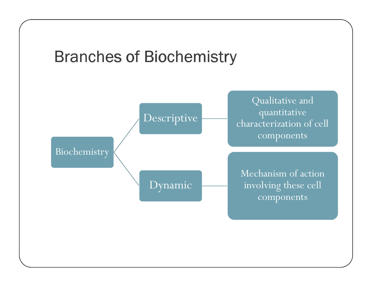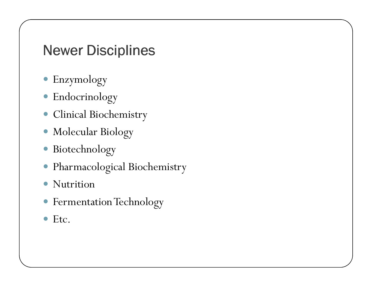### Newer Disciplines

- Enzymology
- Endocrinology
- Clinical Biochemistry
- Molecular Biology
- $\bullet$ Biotechnology
- Pharmacological Biochemistry
- $\bullet$ Nutrition
- Fermentation Technology
- Etc.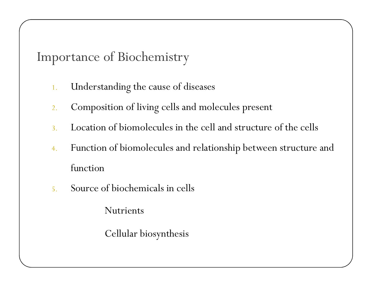Importance of Biochemistry

- 1.Understanding the cause of diseases
- 2.Composition of living cells and molecules present
- 3.Location of biomolecules in the cell and structure of the cells
- Function of biomolecules and relationship between structure and 4.function
- 5.Source of biochemicals in cells

Nutrients

Cellular biosynthesis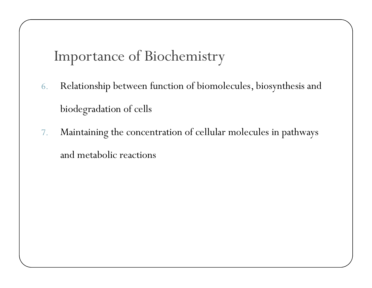Importance of Biochemistry

- 6. Relationship between function of biomolecules, biosynthesis and biodegradation of cells
- 7. Maintaining the concentration of cellular molecules in pathways and metabolic reactions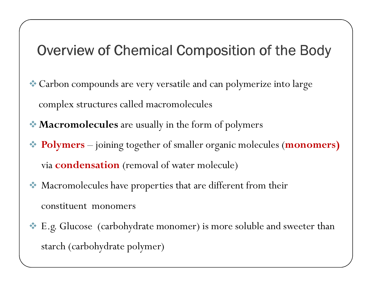## Overview of Chemical Composition of the Body

- Carbon compounds are very versatile and can polymerize into large complex structures called macromolecules
- $\bullet$  **Macromolecules** are usually in the form of polymers
- Polymers –– joining together of smaller organic molecules (**monomers)** via condensation (removal of water molecule)
- 大 Macromolecules have properties that are different from their constituent monomers
- E.g. Glucose (carbohydrate monomer) is more soluble and sweeter than starch (carbohydrate polymer)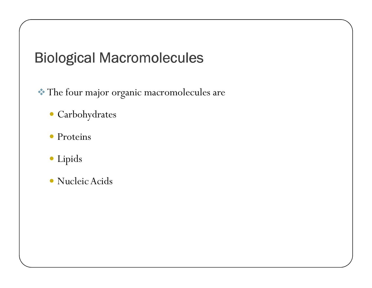## Biological Macromolecules

The four major organic macromolecules are

- Carbohydrates
- Proteins
- Lipids
- Nucleic Acids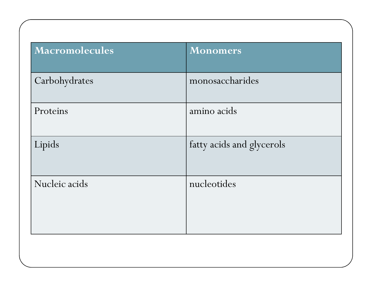| monosaccharides<br>Carbohydrates<br>amino acids<br>Proteins<br>Lipids<br>fatty acids and glycerols<br>Nucleic acids<br>nucleotides | Macromolecules | <b>Monomers</b> |
|------------------------------------------------------------------------------------------------------------------------------------|----------------|-----------------|
|                                                                                                                                    |                |                 |
|                                                                                                                                    |                |                 |
|                                                                                                                                    |                |                 |
|                                                                                                                                    |                |                 |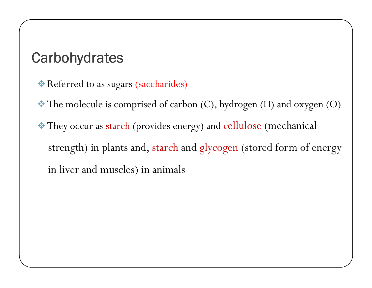## **Carbohydrates**

- Referred to as sugars (saccharides)
- The molecule is comprised of carbon (C), hydrogen (H) and oxygen (O)
- They occur as starch (provides energy) and cellulose (mechanical strength) in plants and, starch and <sup>g</sup>lycogen (stored form of energy in liver and muscles) in animals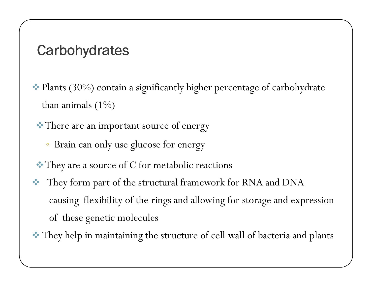#### **Carbohydrates**

 Plants (30%) contain a significantly higher percentage of carbohydrate than animals  $(1\%)$ 

There are an important source of energy

- ◦Brain can only use glucose for energy
- They are a source of C for metabolic reactions
- They form part of the structural framework for RNA and DNA causing flexibility of the rings and allowing for storage and expression of these genetic molecules
- They help in maintaining the structure of cell wall of bacteria and plants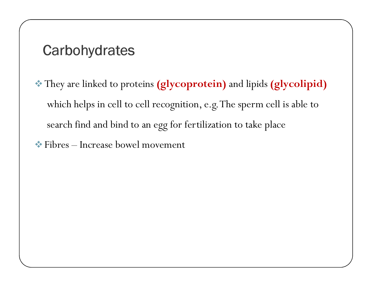#### **Carbohydrates**

- They are linked to proteins (glycoprotein) and lipids (glycolipid) which helps in cell to cell recognition, e.g. The sperm cell is able to search find and bind to an egg for fertilization to take place
- Fibres Increase bowel movement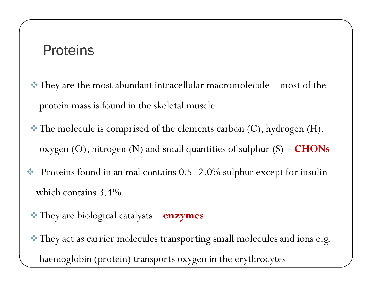#### **Proteins**

- They are the most abundant intracellular macromolecule most of the protein mass is found in the skeletal muscle
- $\bullet$  The molecule is comprised of the elements carbon  $(C)$ , hydrogen  $(H)$ , oxygen (O), nitrogen (N) and small quantities of sulphur (S) –  $\textbf{CHONS}$
- Proteins found in animal contains 0.5 -2.0% sulphur except for insulin which contains 3.4%
	- $\bullet$  They are biological catalysts  $\bold{enzynes}}$
- They act as carrier molecules transporting small molecules and ions e.g. haemoglobin (protein) transports oxygen in the erythrocytes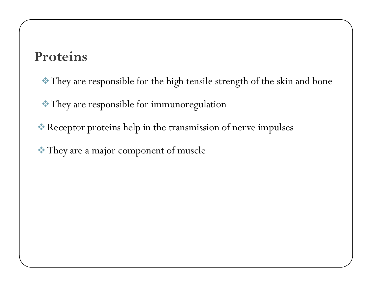#### Proteins

- They are responsible for the high tensile strength of the skin and bone
- They are responsible for immunoregulation
- Receptor proteins help in the transmission of nerve impulses
- They are a major component of muscle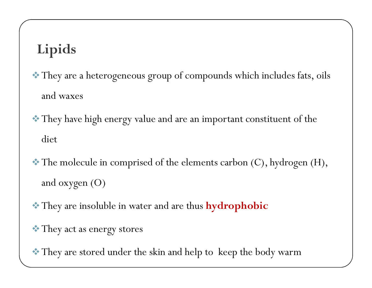## Lipids

- They are a heterogeneous group of compounds which includes fats, oils and waxes
- They have high energy value and are an important constituent of the diet
- $\bullet$  The molecule in comprised of the elements carbon (C), hydrogen (H), and oxygen (O)
- $\bullet$  They are insoluble in water and are thus **hydrophobic**
- They act as energy stores
- They are stored under the skin and help to keep the body warm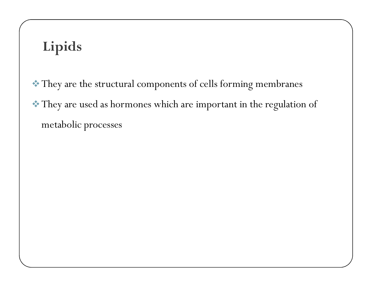## Lipids

 They are the structural components of cells forming membranes They are used as hormones which are important in the regulation of metabolic processes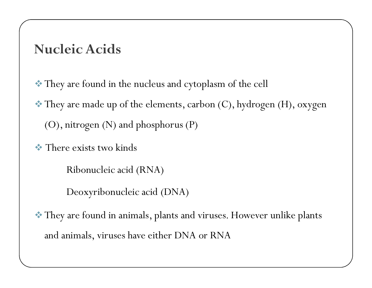#### Nucleic Acids

They are found in the nucleus and cytoplasm of the cell

 They are made up of the elements, carbon (C), hydrogen (H), oxygen (O), nitrogen (N) and phosphorus (P)

There exists two kinds

Ribonucleic acid (RNA)

Deoxyribonucleic acid (DNA)

 They are found in animals, plants and viruses. However unlike plants and animals, viruses have either DNA or RNA